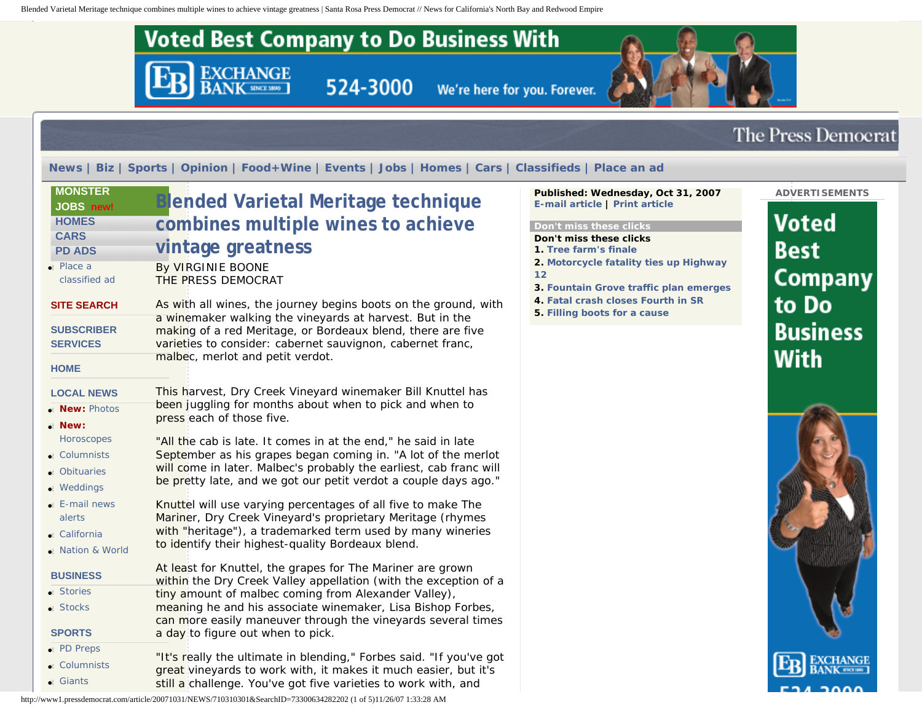Blended Varietal Meritage technique combines multiple wines to achieve vintage greatness | Santa Rosa Press Democrat // News for California's North Bay and Redwood Empire



http://www1.pressdemocrat.com/article/20071031/NEWS/710310301&SearchID=73300634282202 (1 of 5)11/26/07 1:33:28 AM